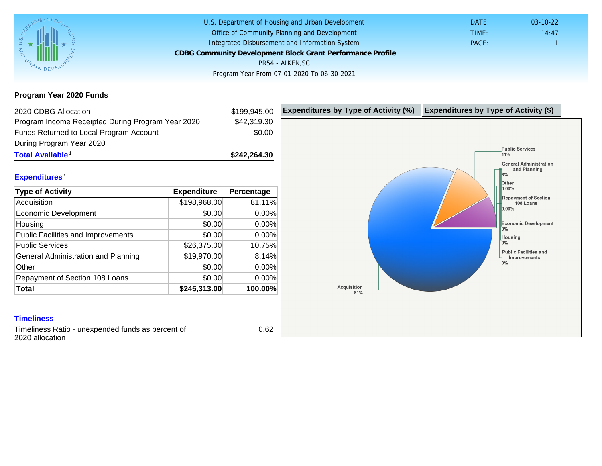## Program Year 2020 Funds

| 2020 CDBG Allocation                              |              | \$199,945.00 | Expenditures by Type of Activity (%) | Expenditure |
|---------------------------------------------------|--------------|--------------|--------------------------------------|-------------|
| Program Income Receipted During Program Year 2020 |              | \$42,319.30  |                                      |             |
| Funds Returned to Local Program Account           |              | \$0.00       |                                      |             |
| During Program Year 2020                          |              |              |                                      |             |
| Total Available <sup>1</sup>                      |              | \$242,264.30 |                                      |             |
|                                                   |              |              |                                      |             |
| Expenditures <sup>2</sup>                         |              |              |                                      |             |
| Type of Activity                                  | Expenditure  | Percentage   |                                      |             |
| Acquisition                                       | \$198,968.00 | 81.11%       |                                      |             |
| Economic Development                              | \$0.00       | 0.00%        |                                      |             |
| Housing                                           | \$0.00       | 0.00%        |                                      |             |
| <b>Public Facilities and Improvements</b>         | \$0.00       | 0.00%        |                                      |             |
| <b>Public Services</b>                            | \$26,375.00  | 10.75%       |                                      |             |
| General Administration and Planning               | \$19,970.00  | 8.14%        |                                      |             |
| Other                                             | \$0.00       | 0.00%        |                                      |             |
| Repayment of Section 108 Loans                    | \$0.00       | 0.00%        |                                      |             |
| Total                                             | \$245,313.00 | 100.00%      |                                      |             |

Timeliness Ratio - unexpended funds as percent of 2020 allocation

0.62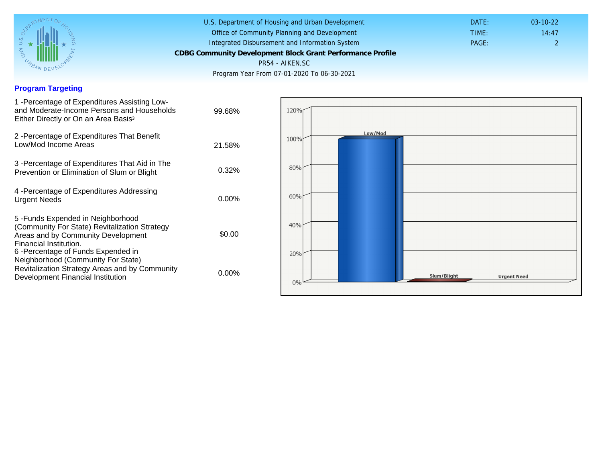#### Program Targeting

| 1 -Percentage of Expenditures Assisting Low-<br>and Moderate-Income Persons and Households<br>Either Directly or On an Area Basis <sup>3</sup>                                                                                 | 99.68%   |
|--------------------------------------------------------------------------------------------------------------------------------------------------------------------------------------------------------------------------------|----------|
| 2 - Percentage of Expenditures That Benefit<br>Low/Mod Income Areas                                                                                                                                                            | 21.58%   |
| 3 -Percentage of Expenditures That Aid in The<br>Prevention or Elimination of Slum or Blight                                                                                                                                   | $0.32\%$ |
| 4 - Percentage of Expenditures Addressing<br><b>Urgent Needs</b>                                                                                                                                                               | $0.00\%$ |
| 5 - Funds Expended in Neighborhood<br>(Community For State) Revitalization Strategy<br>Areas and by Community Development<br>Financial Institution.<br>6-Percentage of Funds Expended in<br>Neighborhood (Community For State) | \$0.00   |
| Revitalization Strategy Areas and by Community<br>Development Financial Institution                                                                                                                                            | $0.00\%$ |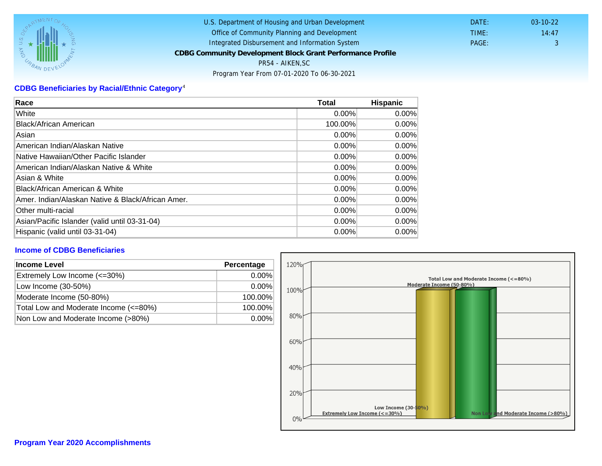# CDBG Beneficiaries by Racial/Ethnic Category <sup>4</sup>

| Race                                              | Total    | Hispanic |
|---------------------------------------------------|----------|----------|
| White                                             | 0.00%    | $0.00\%$ |
| Black/African American                            | 100.00%  | $0.00\%$ |
| Asian                                             | 0.00%    | $0.00\%$ |
| IAmerican Indian/Alaskan Native                   | 0.00%    | $0.00\%$ |
| lNative Hawaiian/Other Pacific Islander           | $0.00\%$ | $0.00\%$ |
| American Indian/Alaskan Native & White            | 0.00%    | $0.00\%$ |
| Asian & White                                     | 0.00%    | 0.00%    |
| Black/African American & White                    | 0.00%    | 0.00%    |
| Amer. Indian/Alaskan Native & Black/African Amer. | $0.00\%$ | $0.00\%$ |
| <b>Other multi-racial</b>                         | 0.00%    | 0.00%    |
| Asian/Pacific Islander (valid until 03-31-04)     | 0.00%    | 0.00%    |
| Hispanic (valid until 03-31-04)                   | 0.00%    | 0.00%    |

### Income of CDBG Beneficiaries

| Income Level                          | Percentage |
|---------------------------------------|------------|
| Extremely Low Income (<=30%)          | $0.00\%$   |
| Low Income (30-50%)                   | $0.00\%$   |
| Moderate Income (50-80%)              | 100.00%    |
| Total Low and Moderate Income (<=80%) | 100.00%    |
| Non Low and Moderate Income (>80%)    | $0.00\%$   |